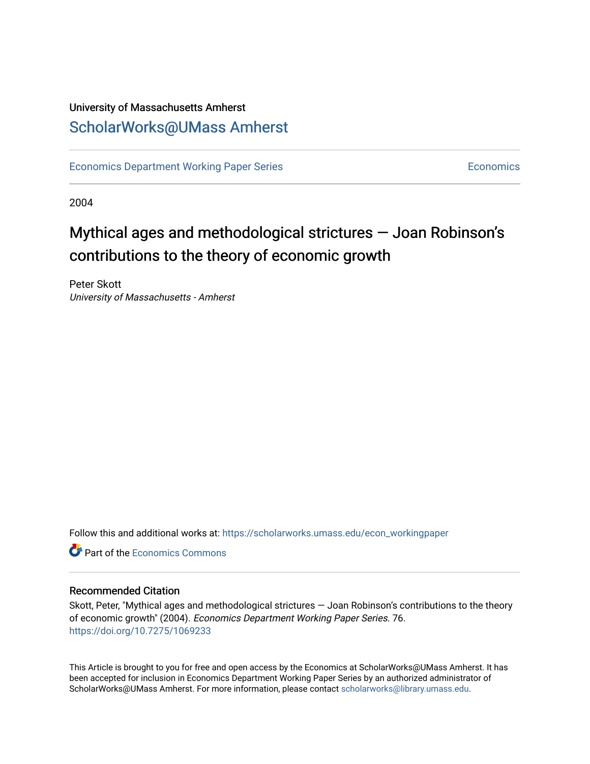### University of Massachusetts Amherst [ScholarWorks@UMass Amherst](https://scholarworks.umass.edu/)

[Economics Department Working Paper Series](https://scholarworks.umass.edu/econ_workingpaper) **Economics** [Economics](https://scholarworks.umass.edu/economics) Economics

2004

# Mythical ages and methodological strictures — Joan Robinson's contributions to the theory of economic growth

Peter Skott University of Massachusetts - Amherst

Follow this and additional works at: [https://scholarworks.umass.edu/econ\\_workingpaper](https://scholarworks.umass.edu/econ_workingpaper?utm_source=scholarworks.umass.edu%2Fecon_workingpaper%2F76&utm_medium=PDF&utm_campaign=PDFCoverPages) 

**C** Part of the [Economics Commons](http://network.bepress.com/hgg/discipline/340?utm_source=scholarworks.umass.edu%2Fecon_workingpaper%2F76&utm_medium=PDF&utm_campaign=PDFCoverPages)

#### Recommended Citation

Skott, Peter, "Mythical ages and methodological strictures — Joan Robinson's contributions to the theory of economic growth" (2004). Economics Department Working Paper Series. 76. <https://doi.org/10.7275/1069233>

This Article is brought to you for free and open access by the Economics at ScholarWorks@UMass Amherst. It has been accepted for inclusion in Economics Department Working Paper Series by an authorized administrator of ScholarWorks@UMass Amherst. For more information, please contact [scholarworks@library.umass.edu.](mailto:scholarworks@library.umass.edu)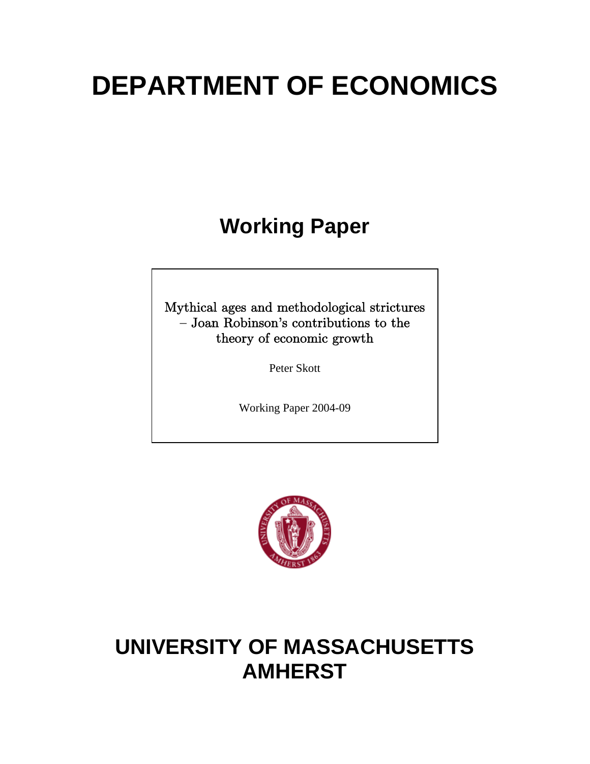# **DEPARTMENT OF ECONOMICS**

**Working Paper** 

Mythical ages and methodological strictures — Joan Robinson's contributions to the theory of economic growth

Peter Skott

Working Paper 2004-09



# **UNIVERSITY OF MASSACHUSETTS AMHERST**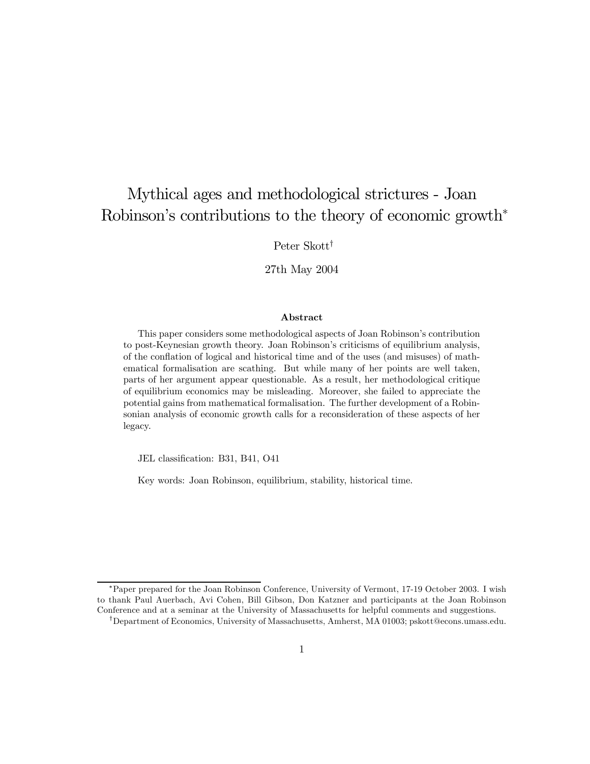## Mythical ages and methodological strictures - Joan Robinson's contributions to the theory of economic growth<sup>∗</sup>

Peter Skott†

27th May 2004

#### Abstract

This paper considers some methodological aspects of Joan Robinson's contribution to post-Keynesian growth theory. Joan Robinson's criticisms of equilibrium analysis, of the conflation of logical and historical time and of the uses (and misuses) of mathematical formalisation are scathing. But while many of her points are well taken, parts of her argument appear questionable. As a result, her methodological critique of equilibrium economics may be misleading. Moreover, she failed to appreciate the potential gains from mathematical formalisation. The further development of a Robinsonian analysis of economic growth calls for a reconsideration of these aspects of her legacy.

JEL classification: B31, B41, O41

Key words: Joan Robinson, equilibrium, stability, historical time.

<sup>∗</sup>Paper prepared for the Joan Robinson Conference, University of Vermont, 17-19 October 2003. I wish to thank Paul Auerbach, Avi Cohen, Bill Gibson, Don Katzner and participants at the Joan Robinson Conference and at a seminar at the University of Massachusetts for helpful comments and suggestions.

<sup>†</sup>Department of Economics, University of Massachusetts, Amherst, MA 01003; pskott@econs.umass.edu.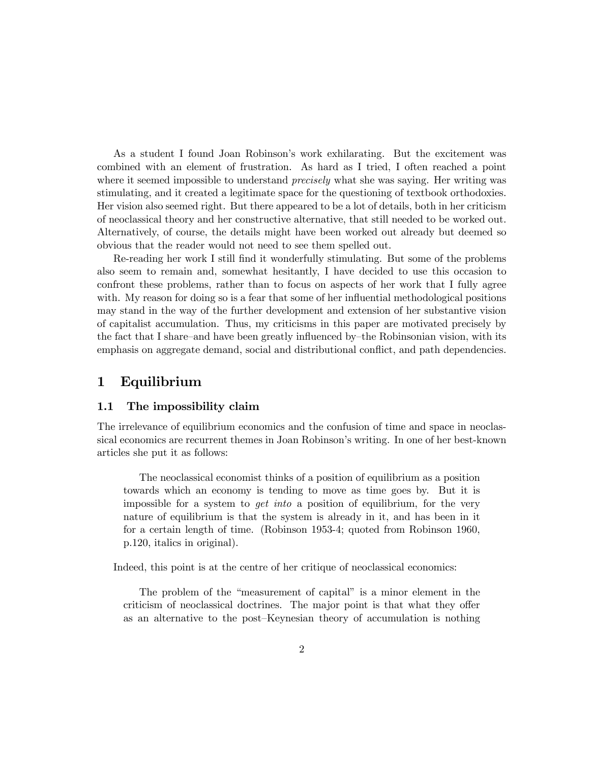As a student I found Joan Robinson's work exhilarating. But the excitement was combined with an element of frustration. As hard as I tried, I often reached a point where it seemed impossible to understand *precisely* what she was saying. Her writing was stimulating, and it created a legitimate space for the questioning of textbook orthodoxies. Her vision also seemed right. But there appeared to be a lot of details, both in her criticism of neoclassical theory and her constructive alternative, that still needed to be worked out. Alternatively, of course, the details might have been worked out already but deemed so obvious that the reader would not need to see them spelled out.

Re-reading her work I still find it wonderfully stimulating. But some of the problems also seem to remain and, somewhat hesitantly, I have decided to use this occasion to confront these problems, rather than to focus on aspects of her work that I fully agree with. My reason for doing so is a fear that some of her influential methodological positions may stand in the way of the further development and extension of her substantive vision of capitalist accumulation. Thus, my criticisms in this paper are motivated precisely by the fact that I share—and have been greatly influenced by—the Robinsonian vision, with its emphasis on aggregate demand, social and distributional conflict, and path dependencies.

#### 1 Equilibrium

#### 1.1 The impossibility claim

The irrelevance of equilibrium economics and the confusion of time and space in neoclassical economics are recurrent themes in Joan Robinson's writing. In one of her best-known articles she put it as follows:

The neoclassical economist thinks of a position of equilibrium as a position towards which an economy is tending to move as time goes by. But it is impossible for a system to *get into* a position of equilibrium, for the very nature of equilibrium is that the system is already in it, and has been in it for a certain length of time. (Robinson 1953-4; quoted from Robinson 1960, p.120, italics in original).

Indeed, this point is at the centre of her critique of neoclassical economics:

The problem of the "measurement of capital" is a minor element in the criticism of neoclassical doctrines. The major point is that what they offer as an alternative to the post—Keynesian theory of accumulation is nothing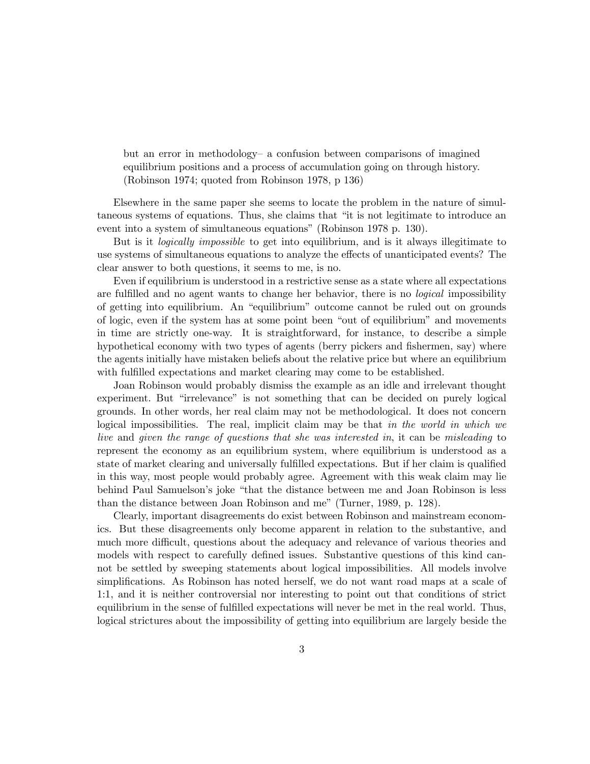but an error in methodology— a confusion between comparisons of imagined equilibrium positions and a process of accumulation going on through history. (Robinson 1974; quoted from Robinson 1978, p 136)

Elsewhere in the same paper she seems to locate the problem in the nature of simultaneous systems of equations. Thus, she claims that "it is not legitimate to introduce an event into a system of simultaneous equations" (Robinson 1978 p. 130).

But is it logically impossible to get into equilibrium, and is it always illegitimate to use systems of simultaneous equations to analyze the effects of unanticipated events? The clear answer to both questions, it seems to me, is no.

Even if equilibrium is understood in a restrictive sense as a state where all expectations are fulfilled and no agent wants to change her behavior, there is no logical impossibility of getting into equilibrium. An "equilibrium" outcome cannot be ruled out on grounds of logic, even if the system has at some point been "out of equilibrium" and movements in time are strictly one-way. It is straightforward, for instance, to describe a simple hypothetical economy with two types of agents (berry pickers and fishermen, say) where the agents initially have mistaken beliefs about the relative price but where an equilibrium with fulfilled expectations and market clearing may come to be established.

Joan Robinson would probably dismiss the example as an idle and irrelevant thought experiment. But "irrelevance" is not something that can be decided on purely logical grounds. In other words, her real claim may not be methodological. It does not concern logical impossibilities. The real, implicit claim may be that in the world in which we live and given the range of questions that she was interested in, it can be misleading to represent the economy as an equilibrium system, where equilibrium is understood as a state of market clearing and universally fulfilled expectations. But if her claim is qualified in this way, most people would probably agree. Agreement with this weak claim may lie behind Paul Samuelson's joke "that the distance between me and Joan Robinson is less than the distance between Joan Robinson and me" (Turner, 1989, p. 128).

Clearly, important disagreements do exist between Robinson and mainstream economics. But these disagreements only become apparent in relation to the substantive, and much more difficult, questions about the adequacy and relevance of various theories and models with respect to carefully defined issues. Substantive questions of this kind cannot be settled by sweeping statements about logical impossibilities. All models involve simplifications. As Robinson has noted herself, we do not want road maps at a scale of 1:1, and it is neither controversial nor interesting to point out that conditions of strict equilibrium in the sense of fulfilled expectations will never be met in the real world. Thus, logical strictures about the impossibility of getting into equilibrium are largely beside the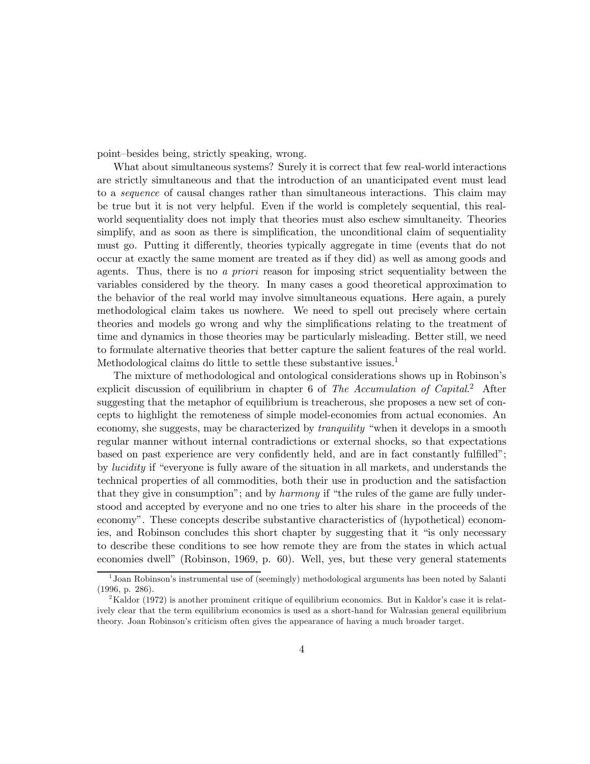point—besides being, strictly speaking, wrong.

What about simultaneous systems? Surely it is correct that few real-world interactions are strictly simultaneous and that the introduction of an unanticipated event must lead to a sequence of causal changes rather than simultaneous interactions. This claim may be true but it is not very helpful. Even if the world is completely sequential, this realworld sequentiality does not imply that theories must also eschew simultaneity. Theories simplify, and as soon as there is simplification, the unconditional claim of sequentiality must go. Putting it differently, theories typically aggregate in time (events that do not occur at exactly the same moment are treated as if they did) as well as among goods and agents. Thus, there is no a priori reason for imposing strict sequentiality between the variables considered by the theory. In many cases a good theoretical approximation to the behavior of the real world may involve simultaneous equations. Here again, a purely methodological claim takes us nowhere. We need to spell out precisely where certain theories and models go wrong and why the simplifications relating to the treatment of time and dynamics in those theories may be particularly misleading. Better still, we need to formulate alternative theories that better capture the salient features of the real world. Methodological claims do little to settle these substantive issues.<sup>1</sup>

The mixture of methodological and ontological considerations shows up in Robinson's explicit discussion of equilibrium in chapter 6 of The Accumulation of Capital.<sup>2</sup> After suggesting that the metaphor of equilibrium is treacherous, she proposes a new set of concepts to highlight the remoteness of simple model-economies from actual economies. An economy, she suggests, may be characterized by tranquility "when it develops in a smooth regular manner without internal contradictions or external shocks, so that expectations based on past experience are very confidently held, and are in fact constantly fulfilled"; by lucidity if "everyone is fully aware of the situation in all markets, and understands the technical properties of all commodities, both their use in production and the satisfaction that they give in consumption"; and by *harmony* if "the rules of the game are fully understood and accepted by everyone and no one tries to alter his share in the proceeds of the economy". These concepts describe substantive characteristics of (hypothetical) economies, and Robinson concludes this short chapter by suggesting that it "is only necessary to describe these conditions to see how remote they are from the states in which actual economies dwell" (Robinson, 1969, p. 60). Well, yes, but these very general statements

<sup>&</sup>lt;sup>1</sup> Joan Robinson's instrumental use of (seemingly) methodological arguments has been noted by Salanti (1996, p. 286).

 $2<sup>2</sup>$ Kaldor (1972) is another prominent critique of equilibrium economics. But in Kaldor's case it is relatively clear that the term equilibrium economics is used as a short-hand for Walrasian general equilibrium theory. Joan Robinson's criticism often gives the appearance of having a much broader target.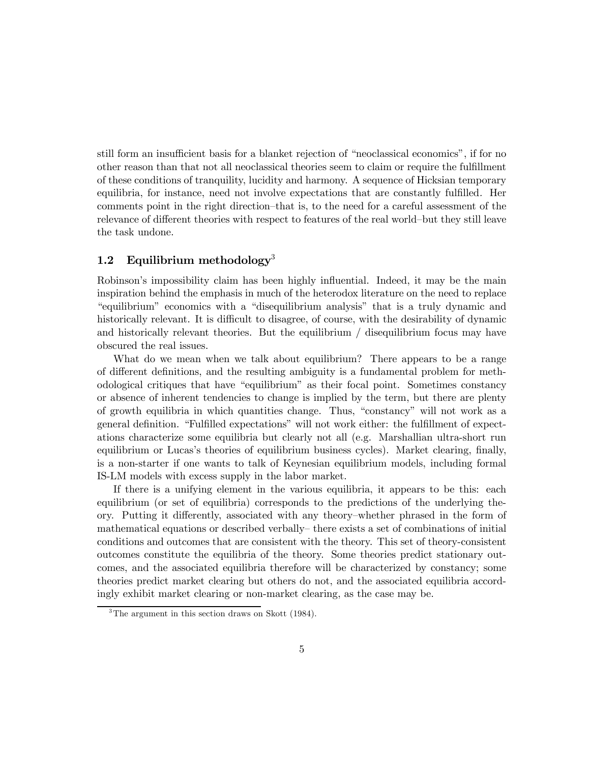still form an insufficient basis for a blanket rejection of "neoclassical economics", if for no other reason than that not all neoclassical theories seem to claim or require the fulfillment of these conditions of tranquility, lucidity and harmony. A sequence of Hicksian temporary equilibria, for instance, need not involve expectations that are constantly fulfilled. Her comments point in the right direction—that is, to the need for a careful assessment of the relevance of different theories with respect to features of the real world—but they still leave the task undone.

#### 1.2 Equilibrium methodology<sup>3</sup>

Robinson's impossibility claim has been highly influential. Indeed, it may be the main inspiration behind the emphasis in much of the heterodox literature on the need to replace "equilibrium" economics with a "disequilibrium analysis" that is a truly dynamic and historically relevant. It is difficult to disagree, of course, with the desirability of dynamic and historically relevant theories. But the equilibrium / disequilibrium focus may have obscured the real issues.

What do we mean when we talk about equilibrium? There appears to be a range of different definitions, and the resulting ambiguity is a fundamental problem for methodological critiques that have "equilibrium" as their focal point. Sometimes constancy or absence of inherent tendencies to change is implied by the term, but there are plenty of growth equilibria in which quantities change. Thus, "constancy" will not work as a general definition. "Fulfilled expectations" will not work either: the fulfillment of expectations characterize some equilibria but clearly not all (e.g. Marshallian ultra-short run equilibrium or Lucas's theories of equilibrium business cycles). Market clearing, finally, is a non-starter if one wants to talk of Keynesian equilibrium models, including formal IS-LM models with excess supply in the labor market.

If there is a unifying element in the various equilibria, it appears to be this: each equilibrium (or set of equilibria) corresponds to the predictions of the underlying theory. Putting it differently, associated with any theory—whether phrased in the form of mathematical equations or described verbally— there exists a set of combinations of initial conditions and outcomes that are consistent with the theory. This set of theory-consistent outcomes constitute the equilibria of the theory. Some theories predict stationary outcomes, and the associated equilibria therefore will be characterized by constancy; some theories predict market clearing but others do not, and the associated equilibria accordingly exhibit market clearing or non-market clearing, as the case may be.

<sup>3</sup>The argument in this section draws on Skott (1984).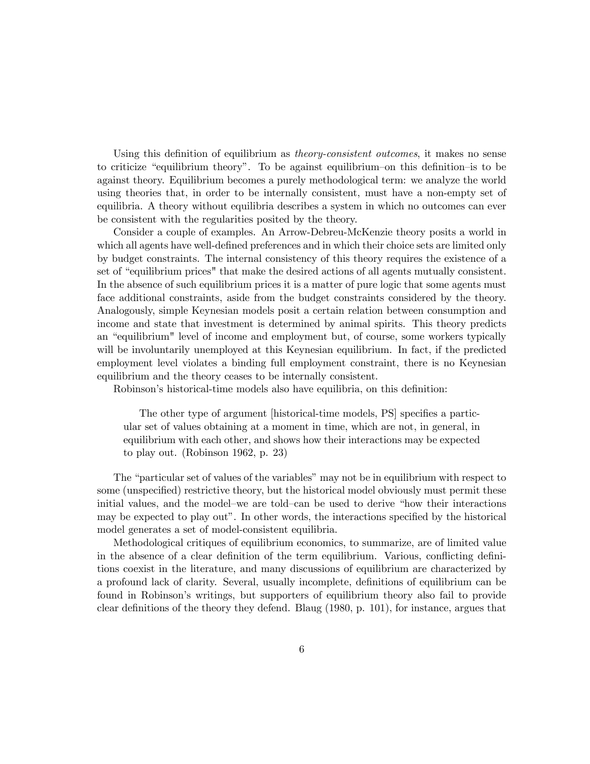Using this definition of equilibrium as *theory-consistent outcomes*, it makes no sense to criticize "equilibrium theory". To be against equilibrium—on this definition—is to be against theory. Equilibrium becomes a purely methodological term: we analyze the world using theories that, in order to be internally consistent, must have a non-empty set of equilibria. A theory without equilibria describes a system in which no outcomes can ever be consistent with the regularities posited by the theory.

Consider a couple of examples. An Arrow-Debreu-McKenzie theory posits a world in which all agents have well-defined preferences and in which their choice sets are limited only by budget constraints. The internal consistency of this theory requires the existence of a set of "equilibrium prices" that make the desired actions of all agents mutually consistent. In the absence of such equilibrium prices it is a matter of pure logic that some agents must face additional constraints, aside from the budget constraints considered by the theory. Analogously, simple Keynesian models posit a certain relation between consumption and income and state that investment is determined by animal spirits. This theory predicts an "equilibrium" level of income and employment but, of course, some workers typically will be involuntarily unemployed at this Keynesian equilibrium. In fact, if the predicted employment level violates a binding full employment constraint, there is no Keynesian equilibrium and the theory ceases to be internally consistent.

Robinson's historical-time models also have equilibria, on this definition:

The other type of argument [historical-time models, PS] specifies a particular set of values obtaining at a moment in time, which are not, in general, in equilibrium with each other, and shows how their interactions may be expected to play out. (Robinson 1962, p. 23)

The "particular set of values of the variables" may not be in equilibrium with respect to some (unspecified) restrictive theory, but the historical model obviously must permit these initial values, and the model—we are told—can be used to derive "how their interactions may be expected to play out". In other words, the interactions specified by the historical model generates a set of model-consistent equilibria.

Methodological critiques of equilibrium economics, to summarize, are of limited value in the absence of a clear definition of the term equilibrium. Various, conflicting definitions coexist in the literature, and many discussions of equilibrium are characterized by a profound lack of clarity. Several, usually incomplete, definitions of equilibrium can be found in Robinson's writings, but supporters of equilibrium theory also fail to provide clear definitions of the theory they defend. Blaug (1980, p. 101), for instance, argues that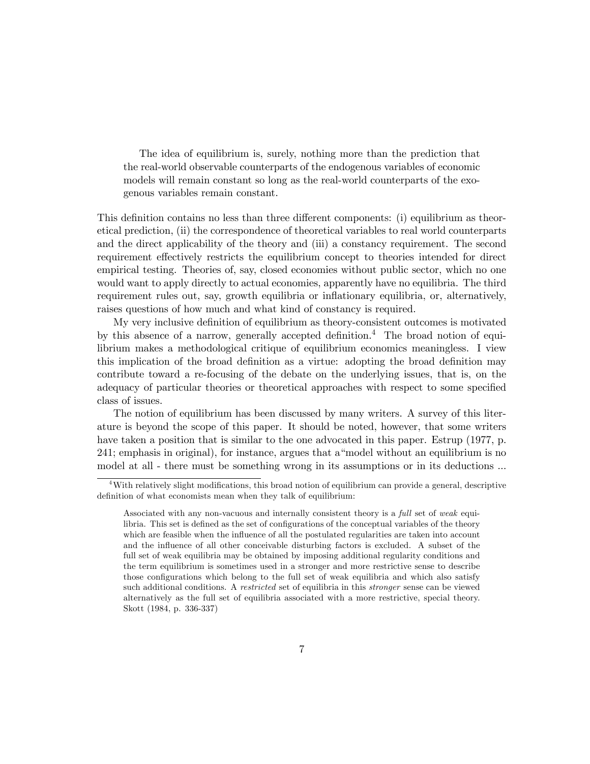The idea of equilibrium is, surely, nothing more than the prediction that the real-world observable counterparts of the endogenous variables of economic models will remain constant so long as the real-world counterparts of the exogenous variables remain constant.

This definition contains no less than three different components: (i) equilibrium as theoretical prediction, (ii) the correspondence of theoretical variables to real world counterparts and the direct applicability of the theory and (iii) a constancy requirement. The second requirement effectively restricts the equilibrium concept to theories intended for direct empirical testing. Theories of, say, closed economies without public sector, which no one would want to apply directly to actual economies, apparently have no equilibria. The third requirement rules out, say, growth equilibria or inflationary equilibria, or, alternatively, raises questions of how much and what kind of constancy is required.

My very inclusive definition of equilibrium as theory-consistent outcomes is motivated by this absence of a narrow, generally accepted definition.4 The broad notion of equilibrium makes a methodological critique of equilibrium economics meaningless. I view this implication of the broad definition as a virtue: adopting the broad definition may contribute toward a re-focusing of the debate on the underlying issues, that is, on the adequacy of particular theories or theoretical approaches with respect to some specified class of issues.

The notion of equilibrium has been discussed by many writers. A survey of this literature is beyond the scope of this paper. It should be noted, however, that some writers have taken a position that is similar to the one advocated in this paper. Estrup (1977, p. 241; emphasis in original), for instance, argues that a"model without an equilibrium is no model at all - there must be something wrong in its assumptions or in its deductions ...

<sup>&</sup>lt;sup>4</sup>With relatively slight modifications, this broad notion of equilibrium can provide a general, descriptive definition of what economists mean when they talk of equilibrium:

Associated with any non-vacuous and internally consistent theory is a full set of weak equilibria. This set is defined as the set of configurations of the conceptual variables of the theory which are feasible when the influence of all the postulated regularities are taken into account and the influence of all other conceivable disturbing factors is excluded. A subset of the full set of weak equilibria may be obtained by imposing additional regularity conditions and the term equilibrium is sometimes used in a stronger and more restrictive sense to describe those configurations which belong to the full set of weak equilibria and which also satisfy such additional conditions. A *restricted* set of equilibria in this *stronger* sense can be viewed alternatively as the full set of equilibria associated with a more restrictive, special theory. Skott (1984, p. 336-337)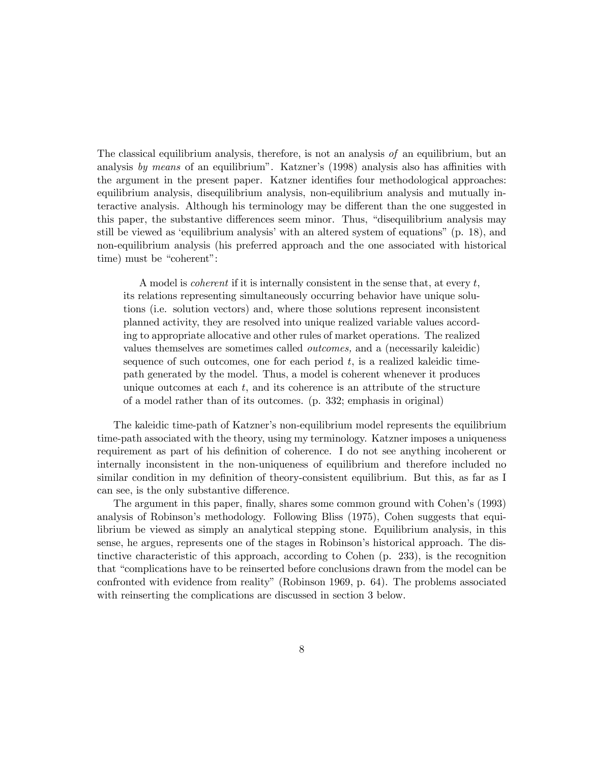The classical equilibrium analysis, therefore, is not an analysis of an equilibrium, but an analysis by means of an equilibrium". Katzner's (1998) analysis also has affinities with the argument in the present paper. Katzner identifies four methodological approaches: equilibrium analysis, disequilibrium analysis, non-equilibrium analysis and mutually interactive analysis. Although his terminology may be different than the one suggested in this paper, the substantive differences seem minor. Thus, "disequilibrium analysis may still be viewed as 'equilibrium analysis' with an altered system of equations" (p. 18), and non-equilibrium analysis (his preferred approach and the one associated with historical time) must be "coherent":

A model is *coherent* if it is internally consistent in the sense that, at every  $t$ , its relations representing simultaneously occurring behavior have unique solutions (i.e. solution vectors) and, where those solutions represent inconsistent planned activity, they are resolved into unique realized variable values according to appropriate allocative and other rules of market operations. The realized values themselves are sometimes called outcomes, and a (necessarily kaleidic) sequence of such outcomes, one for each period  $t$ , is a realized kaleidic timepath generated by the model. Thus, a model is coherent whenever it produces unique outcomes at each  $t$ , and its coherence is an attribute of the structure of a model rather than of its outcomes. (p. 332; emphasis in original)

The kaleidic time-path of Katzner's non-equilibrium model represents the equilibrium time-path associated with the theory, using my terminology. Katzner imposes a uniqueness requirement as part of his definition of coherence. I do not see anything incoherent or internally inconsistent in the non-uniqueness of equilibrium and therefore included no similar condition in my definition of theory-consistent equilibrium. But this, as far as I can see, is the only substantive difference.

The argument in this paper, finally, shares some common ground with Cohen's (1993) analysis of Robinson's methodology. Following Bliss (1975), Cohen suggests that equilibrium be viewed as simply an analytical stepping stone. Equilibrium analysis, in this sense, he argues, represents one of the stages in Robinson's historical approach. The distinctive characteristic of this approach, according to Cohen (p. 233), is the recognition that "complications have to be reinserted before conclusions drawn from the model can be confronted with evidence from reality" (Robinson 1969, p. 64). The problems associated with reinserting the complications are discussed in section 3 below.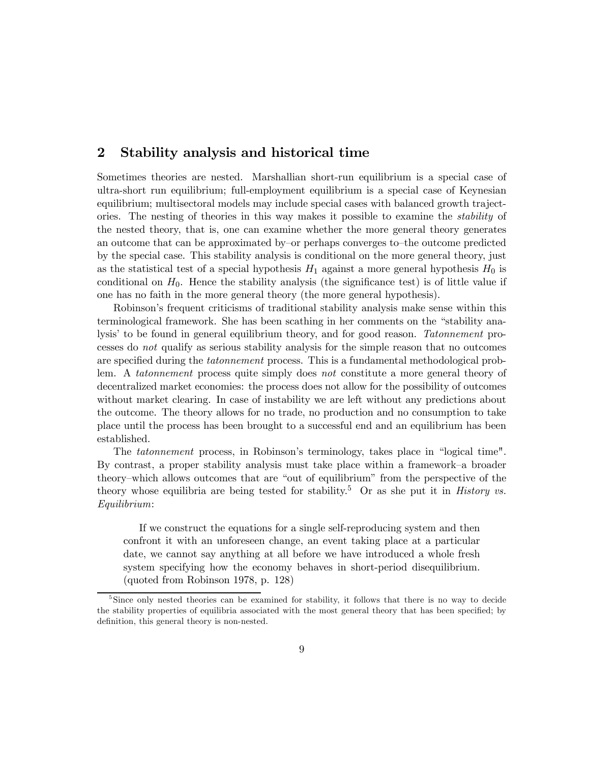#### 2 Stability analysis and historical time

Sometimes theories are nested. Marshallian short-run equilibrium is a special case of ultra-short run equilibrium; full-employment equilibrium is a special case of Keynesian equilibrium; multisectoral models may include special cases with balanced growth trajectories. The nesting of theories in this way makes it possible to examine the stability of the nested theory, that is, one can examine whether the more general theory generates an outcome that can be approximated by—or perhaps converges to—the outcome predicted by the special case. This stability analysis is conditional on the more general theory, just as the statistical test of a special hypothesis  $H_1$  against a more general hypothesis  $H_0$  is conditional on  $H_0$ . Hence the stability analysis (the significance test) is of little value if one has no faith in the more general theory (the more general hypothesis).

Robinson's frequent criticisms of traditional stability analysis make sense within this terminological framework. She has been scathing in her comments on the "stability analysis' to be found in general equilibrium theory, and for good reason. Tatonnement processes do not qualify as serious stability analysis for the simple reason that no outcomes are specified during the tatonnement process. This is a fundamental methodological problem. A tatonnement process quite simply does not constitute a more general theory of decentralized market economies: the process does not allow for the possibility of outcomes without market clearing. In case of instability we are left without any predictions about the outcome. The theory allows for no trade, no production and no consumption to take place until the process has been brought to a successful end and an equilibrium has been established.

The tatonnement process, in Robinson's terminology, takes place in "logical time". By contrast, a proper stability analysis must take place within a framework—a broader theory—which allows outcomes that are "out of equilibrium" from the perspective of the theory whose equilibria are being tested for stability.<sup>5</sup> Or as she put it in *History vs.* Equilibrium:

If we construct the equations for a single self-reproducing system and then confront it with an unforeseen change, an event taking place at a particular date, we cannot say anything at all before we have introduced a whole fresh system specifying how the economy behaves in short-period disequilibrium. (quoted from Robinson 1978, p. 128)

<sup>&</sup>lt;sup>5</sup>Since only nested theories can be examined for stability, it follows that there is no way to decide the stability properties of equilibria associated with the most general theory that has been specified; by definition, this general theory is non-nested.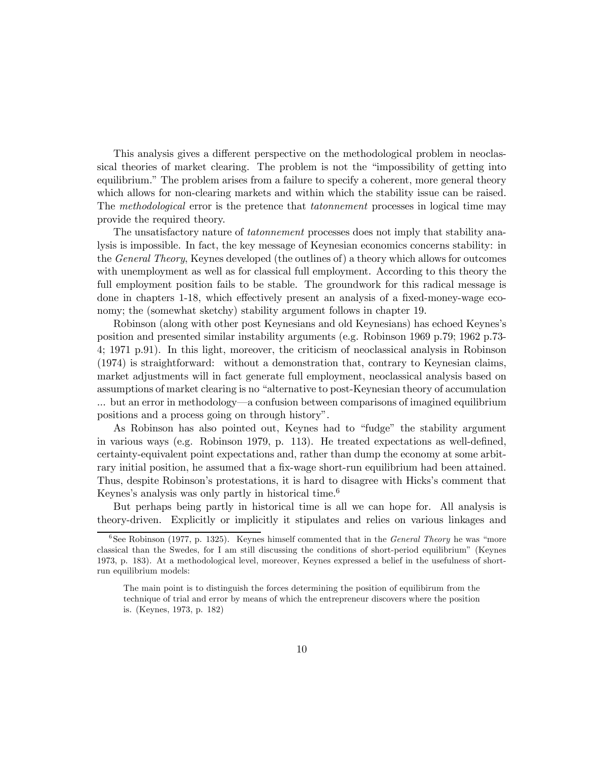This analysis gives a different perspective on the methodological problem in neoclassical theories of market clearing. The problem is not the "impossibility of getting into equilibrium." The problem arises from a failure to specify a coherent, more general theory which allows for non-clearing markets and within which the stability issue can be raised. The *methodological* error is the pretence that *tatonnement* processes in logical time may provide the required theory.

The unsatisfactory nature of *tatonnement* processes does not imply that stability analysis is impossible. In fact, the key message of Keynesian economics concerns stability: in the General Theory, Keynes developed (the outlines of) a theory which allows for outcomes with unemployment as well as for classical full employment. According to this theory the full employment position fails to be stable. The groundwork for this radical message is done in chapters 1-18, which effectively present an analysis of a fixed-money-wage economy; the (somewhat sketchy) stability argument follows in chapter 19.

Robinson (along with other post Keynesians and old Keynesians) has echoed Keynes's position and presented similar instability arguments (e.g. Robinson 1969 p.79; 1962 p.73- 4; 1971 p.91). In this light, moreover, the criticism of neoclassical analysis in Robinson (1974) is straightforward: without a demonstration that, contrary to Keynesian claims, market adjustments will in fact generate full employment, neoclassical analysis based on assumptions of market clearing is no "alternative to post-Keynesian theory of accumulation ... but an error in methodology–a confusion between comparisons of imagined equilibrium positions and a process going on through history".

As Robinson has also pointed out, Keynes had to "fudge" the stability argument in various ways (e.g. Robinson 1979, p. 113). He treated expectations as well-defined, certainty-equivalent point expectations and, rather than dump the economy at some arbitrary initial position, he assumed that a fix-wage short-run equilibrium had been attained. Thus, despite Robinson's protestations, it is hard to disagree with Hicks's comment that Keynes's analysis was only partly in historical time.6

But perhaps being partly in historical time is all we can hope for. All analysis is theory-driven. Explicitly or implicitly it stipulates and relies on various linkages and

 $6$ See Robinson (1977, p. 1325). Keynes himself commented that in the *General Theory* he was "more classical than the Swedes, for I am still discussing the conditions of short-period equilibrium" (Keynes 1973, p. 183). At a methodological level, moreover, Keynes expressed a belief in the usefulness of shortrun equilibrium models:

The main point is to distinguish the forces determining the position of equilibirum from the technique of trial and error by means of which the entrepreneur discovers where the position is. (Keynes, 1973, p. 182)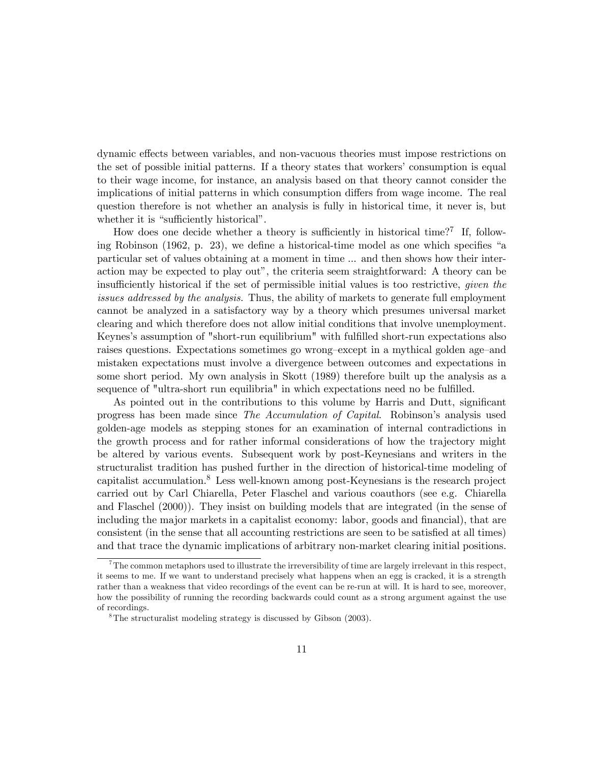dynamic effects between variables, and non-vacuous theories must impose restrictions on the set of possible initial patterns. If a theory states that workers' consumption is equal to their wage income, for instance, an analysis based on that theory cannot consider the implications of initial patterns in which consumption differs from wage income. The real question therefore is not whether an analysis is fully in historical time, it never is, but whether it is "sufficiently historical".

How does one decide whether a theory is sufficiently in historical time?<sup>7</sup> If, following Robinson (1962, p. 23), we define a historical-time model as one which specifies "a particular set of values obtaining at a moment in time ... and then shows how their interaction may be expected to play out", the criteria seem straightforward: A theory can be insufficiently historical if the set of permissible initial values is too restrictive, given the issues addressed by the analysis. Thus, the ability of markets to generate full employment cannot be analyzed in a satisfactory way by a theory which presumes universal market clearing and which therefore does not allow initial conditions that involve unemployment. Keynes's assumption of "short-run equilibrium" with fulfilled short-run expectations also raises questions. Expectations sometimes go wrong—except in a mythical golden age—and mistaken expectations must involve a divergence between outcomes and expectations in some short period. My own analysis in Skott (1989) therefore built up the analysis as a sequence of "ultra-short run equilibria" in which expectations need no be fulfilled.

As pointed out in the contributions to this volume by Harris and Dutt, significant progress has been made since The Accumulation of Capital. Robinson's analysis used golden-age models as stepping stones for an examination of internal contradictions in the growth process and for rather informal considerations of how the trajectory might be altered by various events. Subsequent work by post-Keynesians and writers in the structuralist tradition has pushed further in the direction of historical-time modeling of capitalist accumulation.8 Less well-known among post-Keynesians is the research project carried out by Carl Chiarella, Peter Flaschel and various coauthors (see e.g. Chiarella and Flaschel (2000)). They insist on building models that are integrated (in the sense of including the major markets in a capitalist economy: labor, goods and financial), that are consistent (in the sense that all accounting restrictions are seen to be satisfied at all times) and that trace the dynamic implications of arbitrary non-market clearing initial positions.

 $7$ The common metaphors used to illustrate the irreversibility of time are largely irrelevant in this respect, it seems to me. If we want to understand precisely what happens when an egg is cracked, it is a strength rather than a weakness that video recordings of the event can be re-run at will. It is hard to see, moreover, how the possibility of running the recording backwards could count as a strong argument against the use of recordings.

<sup>8</sup>The structuralist modeling strategy is discussed by Gibson (2003).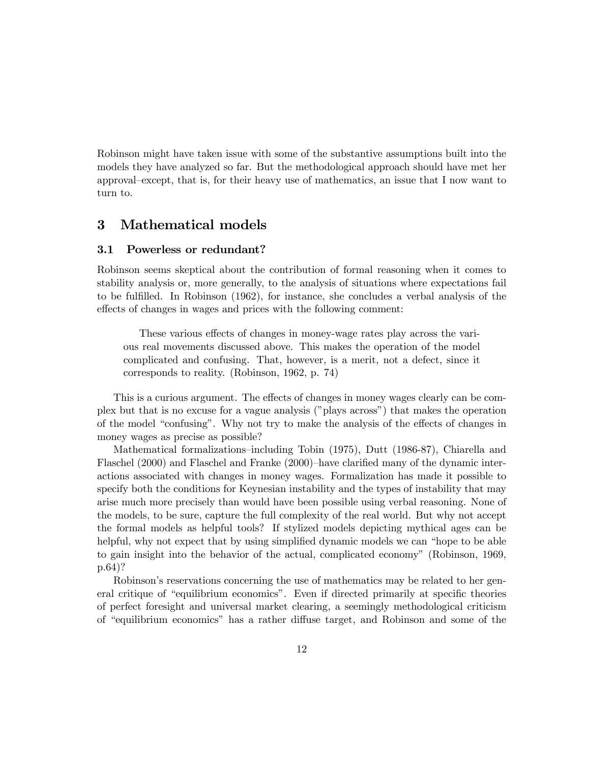Robinson might have taken issue with some of the substantive assumptions built into the models they have analyzed so far. But the methodological approach should have met her approval—except, that is, for their heavy use of mathematics, an issue that I now want to turn to.

#### 3 Mathematical models

#### 3.1 Powerless or redundant?

Robinson seems skeptical about the contribution of formal reasoning when it comes to stability analysis or, more generally, to the analysis of situations where expectations fail to be fulfilled. In Robinson (1962), for instance, she concludes a verbal analysis of the effects of changes in wages and prices with the following comment:

These various effects of changes in money-wage rates play across the various real movements discussed above. This makes the operation of the model complicated and confusing. That, however, is a merit, not a defect, since it corresponds to reality. (Robinson, 1962, p. 74)

This is a curious argument. The effects of changes in money wages clearly can be complex but that is no excuse for a vague analysis ("plays across") that makes the operation of the model "confusing". Why not try to make the analysis of the effects of changes in money wages as precise as possible?

Mathematical formalizations—including Tobin (1975), Dutt (1986-87), Chiarella and Flaschel (2000) and Flaschel and Franke (2000)—have clarified many of the dynamic interactions associated with changes in money wages. Formalization has made it possible to specify both the conditions for Keynesian instability and the types of instability that may arise much more precisely than would have been possible using verbal reasoning. None of the models, to be sure, capture the full complexity of the real world. But why not accept the formal models as helpful tools? If stylized models depicting mythical ages can be helpful, why not expect that by using simplified dynamic models we can "hope to be able to gain insight into the behavior of the actual, complicated economy" (Robinson, 1969, p.64)?

Robinson's reservations concerning the use of mathematics may be related to her general critique of "equilibrium economics". Even if directed primarily at specific theories of perfect foresight and universal market clearing, a seemingly methodological criticism of "equilibrium economics" has a rather diffuse target, and Robinson and some of the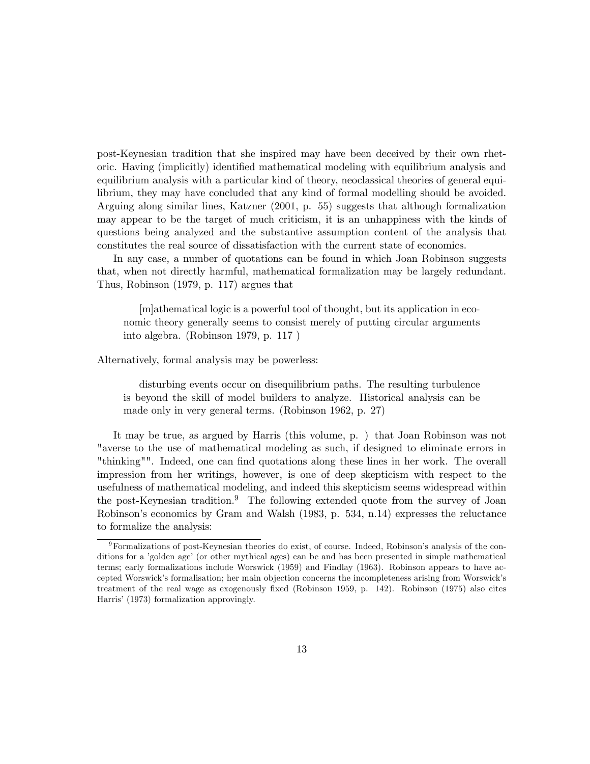post-Keynesian tradition that she inspired may have been deceived by their own rhetoric. Having (implicitly) identified mathematical modeling with equilibrium analysis and equilibrium analysis with a particular kind of theory, neoclassical theories of general equilibrium, they may have concluded that any kind of formal modelling should be avoided. Arguing along similar lines, Katzner (2001, p. 55) suggests that although formalization may appear to be the target of much criticism, it is an unhappiness with the kinds of questions being analyzed and the substantive assumption content of the analysis that constitutes the real source of dissatisfaction with the current state of economics.

In any case, a number of quotations can be found in which Joan Robinson suggests that, when not directly harmful, mathematical formalization may be largely redundant. Thus, Robinson (1979, p. 117) argues that

[m]athematical logic is a powerful tool of thought, but its application in economic theory generally seems to consist merely of putting circular arguments into algebra. (Robinson 1979, p. 117 )

Alternatively, formal analysis may be powerless:

disturbing events occur on disequilibrium paths. The resulting turbulence is beyond the skill of model builders to analyze. Historical analysis can be made only in very general terms. (Robinson 1962, p. 27)

It may be true, as argued by Harris (this volume, p. ) that Joan Robinson was not "averse to the use of mathematical modeling as such, if designed to eliminate errors in "thinking"". Indeed, one can find quotations along these lines in her work. The overall impression from her writings, however, is one of deep skepticism with respect to the usefulness of mathematical modeling, and indeed this skepticism seems widespread within the post-Keynesian tradition.<sup>9</sup> The following extended quote from the survey of Joan Robinson's economics by Gram and Walsh (1983, p. 534, n.14) expresses the reluctance to formalize the analysis:

<sup>&</sup>lt;sup>9</sup>Formalizations of post-Keynesian theories do exist, of course. Indeed, Robinson's analysis of the conditions for a 'golden age' (or other mythical ages) can be and has been presented in simple mathematical terms; early formalizations include Worswick (1959) and Findlay (1963). Robinson appears to have accepted Worswick's formalisation; her main objection concerns the incompleteness arising from Worswick's treatment of the real wage as exogenously fixed (Robinson 1959, p. 142). Robinson (1975) also cites Harris' (1973) formalization approvingly.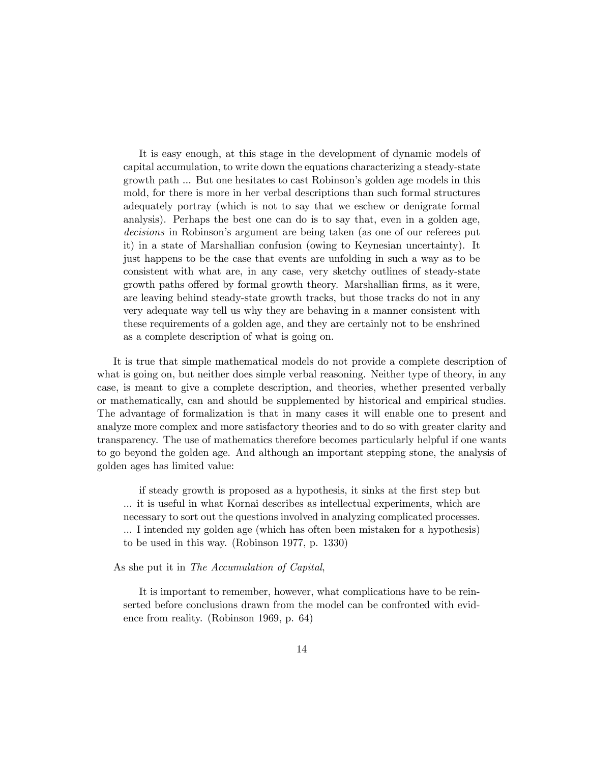It is easy enough, at this stage in the development of dynamic models of capital accumulation, to write down the equations characterizing a steady-state growth path ... But one hesitates to cast Robinson's golden age models in this mold, for there is more in her verbal descriptions than such formal structures adequately portray (which is not to say that we eschew or denigrate formal analysis). Perhaps the best one can do is to say that, even in a golden age, decisions in Robinson's argument are being taken (as one of our referees put it) in a state of Marshallian confusion (owing to Keynesian uncertainty). It just happens to be the case that events are unfolding in such a way as to be consistent with what are, in any case, very sketchy outlines of steady-state growth paths offered by formal growth theory. Marshallian firms, as it were, are leaving behind steady-state growth tracks, but those tracks do not in any very adequate way tell us why they are behaving in a manner consistent with these requirements of a golden age, and they are certainly not to be enshrined as a complete description of what is going on.

It is true that simple mathematical models do not provide a complete description of what is going on, but neither does simple verbal reasoning. Neither type of theory, in any case, is meant to give a complete description, and theories, whether presented verbally or mathematically, can and should be supplemented by historical and empirical studies. The advantage of formalization is that in many cases it will enable one to present and analyze more complex and more satisfactory theories and to do so with greater clarity and transparency. The use of mathematics therefore becomes particularly helpful if one wants to go beyond the golden age. And although an important stepping stone, the analysis of golden ages has limited value:

if steady growth is proposed as a hypothesis, it sinks at the first step but ... it is useful in what Kornai describes as intellectual experiments, which are necessary to sort out the questions involved in analyzing complicated processes. ... I intended my golden age (which has often been mistaken for a hypothesis) to be used in this way. (Robinson 1977, p. 1330)

As she put it in The Accumulation of Capital,

It is important to remember, however, what complications have to be reinserted before conclusions drawn from the model can be confronted with evidence from reality. (Robinson 1969, p. 64)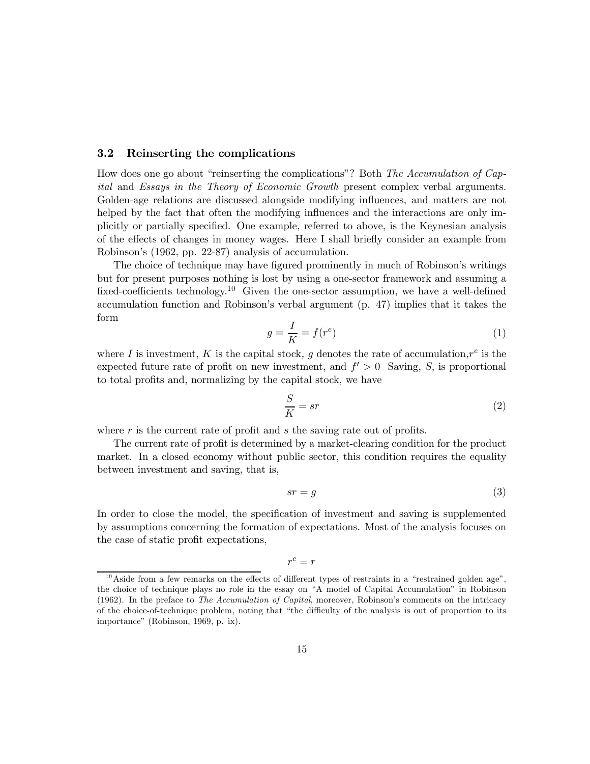#### 3.2 Reinserting the complications

How does one go about "reinserting the complications"? Both The Accumulation of Capital and Essays in the Theory of Economic Growth present complex verbal arguments. Golden-age relations are discussed alongside modifying influences, and matters are not helped by the fact that often the modifying influences and the interactions are only implicitly or partially specified. One example, referred to above, is the Keynesian analysis of the effects of changes in money wages. Here I shall briefly consider an example from Robinson's (1962, pp. 22-87) analysis of accumulation.

The choice of technique may have figured prominently in much of Robinson's writings but for present purposes nothing is lost by using a one-sector framework and assuming a fixed-coefficients technology.<sup>10</sup> Given the one-sector assumption, we have a well-defined accumulation function and Robinson's verbal argument (p. 47) implies that it takes the form

$$
g = \frac{I}{K} = f(r^e) \tag{1}
$$

where I is investment, K is the capital stock, g denotes the rate of accumulation,  $r^e$  is the expected future rate of profit on new investment, and  $f' > 0$  Saving, S, is proportional to total profits and, normalizing by the capital stock, we have

$$
\frac{S}{K} = sr \tag{2}
$$

where  $r$  is the current rate of profit and  $s$  the saving rate out of profits.

The current rate of profit is determined by a market-clearing condition for the product market. In a closed economy without public sector, this condition requires the equality between investment and saving, that is,

$$
sr = g \tag{3}
$$

In order to close the model, the specification of investment and saving is supplemented by assumptions concerning the formation of expectations. Most of the analysis focuses on the case of static profit expectations,

$$
r^e=r
$$

 $10$ Aside from a few remarks on the effects of different types of restraints in a "restrained golden age", the choice of technique plays no role in the essay on "A model of Capital Accumulation" in Robinson (1962). In the preface to The Accumulation of Capital, moreover, Robinson's comments on the intricacy of the choice-of-technique problem, noting that "the difficulty of the analysis is out of proportion to its importance" (Robinson, 1969, p. ix).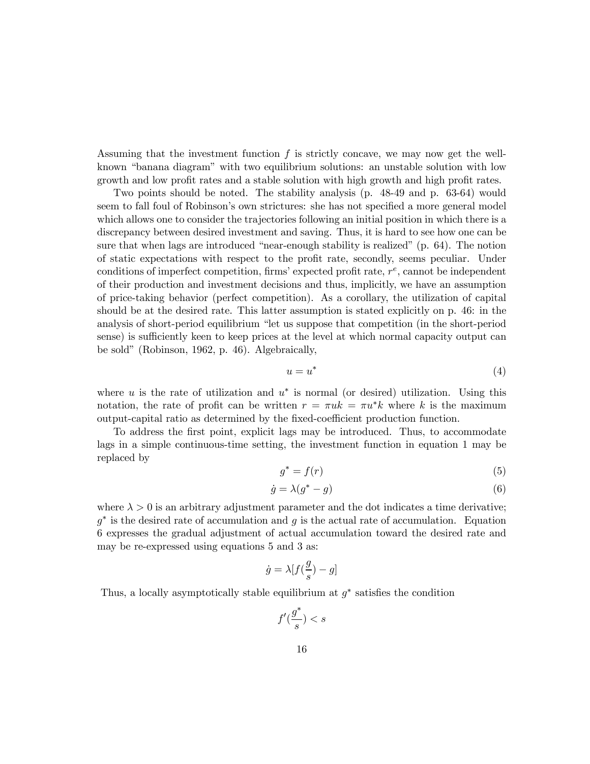Assuming that the investment function  $f$  is strictly concave, we may now get the wellknown "banana diagram" with two equilibrium solutions: an unstable solution with low growth and low profit rates and a stable solution with high growth and high profit rates.

Two points should be noted. The stability analysis (p. 48-49 and p. 63-64) would seem to fall foul of Robinson's own strictures: she has not specified a more general model which allows one to consider the trajectories following an initial position in which there is a discrepancy between desired investment and saving. Thus, it is hard to see how one can be sure that when lags are introduced "near-enough stability is realized" (p. 64). The notion of static expectations with respect to the profit rate, secondly, seems peculiar. Under conditions of imperfect competition, firms' expected profit rate,  $r^e$ , cannot be independent of their production and investment decisions and thus, implicitly, we have an assumption of price-taking behavior (perfect competition). As a corollary, the utilization of capital should be at the desired rate. This latter assumption is stated explicitly on p. 46: in the analysis of short-period equilibrium "let us suppose that competition (in the short-period sense) is sufficiently keen to keep prices at the level at which normal capacity output can be sold" (Robinson, 1962, p. 46). Algebraically,

$$
u = u^* \tag{4}
$$

where u is the rate of utilization and  $u^*$  is normal (or desired) utilization. Using this notation, the rate of profit can be written  $r = \pi u k = \pi u^* k$  where k is the maximum output-capital ratio as determined by the fixed-coefficient production function.

To address the first point, explicit lags may be introduced. Thus, to accommodate lags in a simple continuous-time setting, the investment function in equation 1 may be replaced by

$$
g^* = f(r) \tag{5}
$$

$$
\dot{g} = \lambda (g^* - g) \tag{6}
$$

where  $\lambda > 0$  is an arbitrary adjustment parameter and the dot indicates a time derivative;  $g^*$  is the desired rate of accumulation and g is the actual rate of accumulation. Equation 6 expresses the gradual adjustment of actual accumulation toward the desired rate and may be re-expressed using equations 5 and 3 as:

$$
\dot{g} = \lambda[f(\frac{g}{s}) - g]
$$

Thus, a locally asymptotically stable equilibrium at  $g^*$  satisfies the condition

$$
f'(\frac{g^*}{s}) < s
$$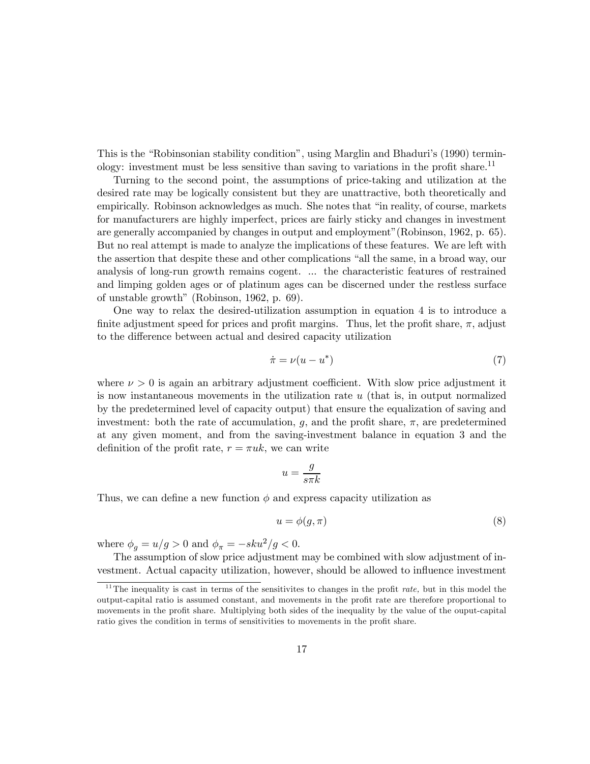This is the "Robinsonian stability condition", using Marglin and Bhaduri's (1990) terminology: investment must be less sensitive than saving to variations in the profit share.<sup>11</sup>

Turning to the second point, the assumptions of price-taking and utilization at the desired rate may be logically consistent but they are unattractive, both theoretically and empirically. Robinson acknowledges as much. She notes that "in reality, of course, markets for manufacturers are highly imperfect, prices are fairly sticky and changes in investment are generally accompanied by changes in output and employment"(Robinson, 1962, p. 65). But no real attempt is made to analyze the implications of these features. We are left with the assertion that despite these and other complications "all the same, in a broad way, our analysis of long-run growth remains cogent. ... the characteristic features of restrained and limping golden ages or of platinum ages can be discerned under the restless surface of unstable growth" (Robinson, 1962, p. 69).

One way to relax the desired-utilization assumption in equation 4 is to introduce a finite adjustment speed for prices and profit margins. Thus, let the profit share,  $\pi$ , adjust to the difference between actual and desired capacity utilization

$$
\dot{\pi} = \nu(u - u^*)\tag{7}
$$

where  $\nu > 0$  is again an arbitrary adjustment coefficient. With slow price adjustment it is now instantaneous movements in the utilization rate u (that is, in output normalized by the predetermined level of capacity output) that ensure the equalization of saving and investment: both the rate of accumulation, g, and the profit share,  $\pi$ , are predetermined at any given moment, and from the saving-investment balance in equation 3 and the definition of the profit rate,  $r = \pi u k$ , we can write

$$
u = \frac{g}{s\pi k}
$$

Thus, we can define a new function  $\phi$  and express capacity utilization as

$$
u = \phi(g, \pi) \tag{8}
$$

where  $\phi_q = u/g > 0$  and  $\phi_\pi = -\frac{sku^2}{g} < 0$ .

The assumption of slow price adjustment may be combined with slow adjustment of investment. Actual capacity utilization, however, should be allowed to influence investment

 $11$ The inequality is cast in terms of the sensitivites to changes in the profit rate, but in this model the output-capital ratio is assumed constant, and movements in the profit rate are therefore proportional to movements in the profit share. Multiplying both sides of the inequality by the value of the ouput-capital ratio gives the condition in terms of sensitivities to movements in the profit share.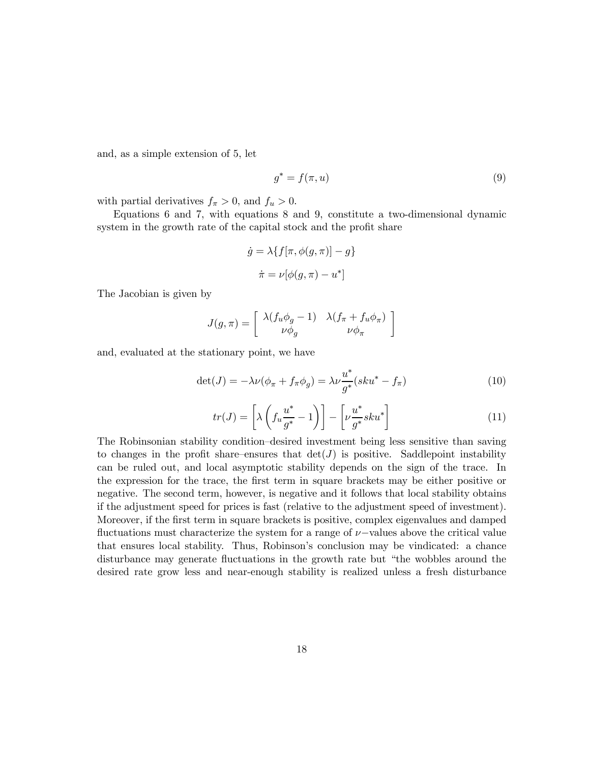and, as a simple extension of 5, let

$$
g^* = f(\pi, u) \tag{9}
$$

with partial derivatives  $f_{\pi} > 0$ , and  $f_u > 0$ .

Equations 6 and 7, with equations 8 and 9, constitute a two-dimensional dynamic system in the growth rate of the capital stock and the profit share

$$
\dot{g} = \lambda \{ f[\pi, \phi(g, \pi)] - g \}
$$

$$
\dot{\pi} = \nu [\phi(g, \pi) - u^*]
$$

The Jacobian is given by

$$
J(g,\pi) = \begin{bmatrix} \lambda (f_u \phi_g - 1) & \lambda (f_\pi + f_u \phi_\pi) \\ \nu \phi_g & \nu \phi_\pi \end{bmatrix}
$$

and, evaluated at the stationary point, we have

$$
\det(J) = -\lambda \nu (\phi_{\pi} + f_{\pi} \phi_g) = \lambda \nu \frac{u^*}{g^*} (sku^* - f_{\pi})
$$
\n(10)

$$
tr(J) = \left[\lambda \left(f_u \frac{u^*}{g^*} - 1\right)\right] - \left[\nu \frac{u^*}{g^*} s k u^*\right] \tag{11}
$$

The Robinsonian stability condition—desired investment being less sensitive than saving to changes in the profit share–ensures that  $\det(J)$  is positive. Saddlepoint instability can be ruled out, and local asymptotic stability depends on the sign of the trace. In the expression for the trace, the first term in square brackets may be either positive or negative. The second term, however, is negative and it follows that local stability obtains if the adjustment speed for prices is fast (relative to the adjustment speed of investment). Moreover, if the first term in square brackets is positive, complex eigenvalues and damped fluctuations must characterize the system for a range of  $\nu$ -values above the critical value that ensures local stability. Thus, Robinson's conclusion may be vindicated: a chance disturbance may generate fluctuations in the growth rate but "the wobbles around the desired rate grow less and near-enough stability is realized unless a fresh disturbance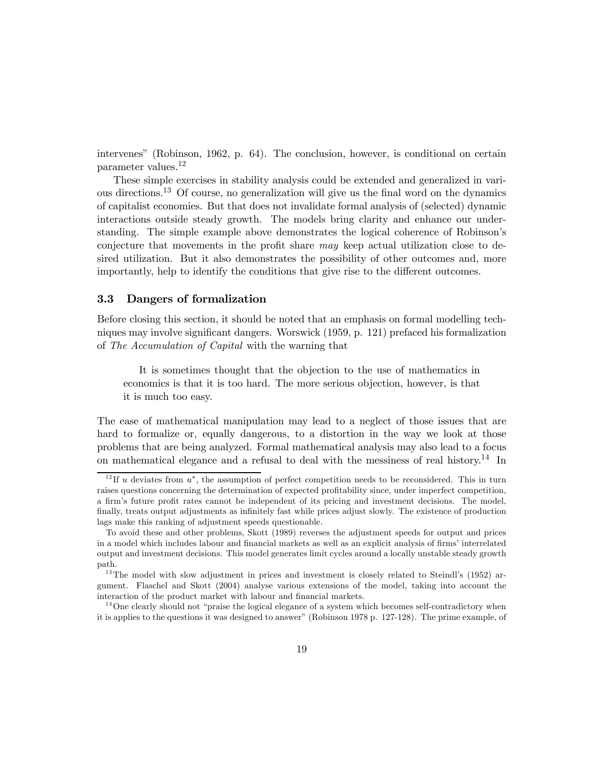intervenes" (Robinson, 1962, p. 64). The conclusion, however, is conditional on certain parameter values.12

These simple exercises in stability analysis could be extended and generalized in various directions.<sup>13</sup> Of course, no generalization will give us the final word on the dynamics of capitalist economies. But that does not invalidate formal analysis of (selected) dynamic interactions outside steady growth. The models bring clarity and enhance our understanding. The simple example above demonstrates the logical coherence of Robinson's conjecture that movements in the profit share may keep actual utilization close to desired utilization. But it also demonstrates the possibility of other outcomes and, more importantly, help to identify the conditions that give rise to the different outcomes.

#### 3.3 Dangers of formalization

Before closing this section, it should be noted that an emphasis on formal modelling techniques may involve significant dangers. Worswick (1959, p. 121) prefaced his formalization of The Accumulation of Capital with the warning that

It is sometimes thought that the objection to the use of mathematics in economics is that it is too hard. The more serious objection, however, is that it is much too easy.

The ease of mathematical manipulation may lead to a neglect of those issues that are hard to formalize or, equally dangerous, to a distortion in the way we look at those problems that are being analyzed. Formal mathematical analysis may also lead to a focus on mathematical elegance and a refusal to deal with the messiness of real history.<sup>14</sup> In

<sup>&</sup>lt;sup>12</sup>If u deviates from  $u^*$ , the assumption of perfect competition needs to be reconsidered. This in turn raises questions concerning the determination of expected profitability since, under imperfect competition, a firm's future profit rates cannot be independent of its pricing and investment decisions. The model, finally, treats output adjustments as infinitely fast while prices adjust slowly. The existence of production lags make this ranking of adjustment speeds questionable.

To avoid these and other problems, Skott (1989) reverses the adjustment speeds for output and prices in a model which includes labour and financial markets as well as an explicit analysis of firms' interrelated output and investment decisions. This model generates limit cycles around a locally unstable steady growth path.

 $13$ The model with slow adjustment in prices and investment is closely related to Steindl's (1952) argument. Flaschel and Skott (2004) analyse various extensions of the model, taking into account the interaction of the product market with labour and financial markets.

 $14$ One clearly should not "praise the logical elegance of a system which becomes self-contradictory when it is applies to the questions it was designed to answer" (Robinson 1978 p. 127-128). The prime example, of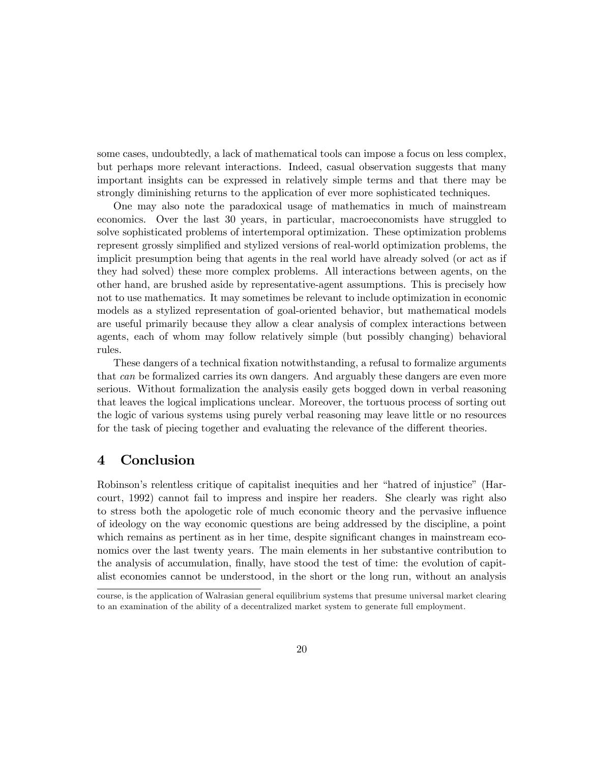some cases, undoubtedly, a lack of mathematical tools can impose a focus on less complex, but perhaps more relevant interactions. Indeed, casual observation suggests that many important insights can be expressed in relatively simple terms and that there may be strongly diminishing returns to the application of ever more sophisticated techniques.

One may also note the paradoxical usage of mathematics in much of mainstream economics. Over the last 30 years, in particular, macroeconomists have struggled to solve sophisticated problems of intertemporal optimization. These optimization problems represent grossly simplified and stylized versions of real-world optimization problems, the implicit presumption being that agents in the real world have already solved (or act as if they had solved) these more complex problems. All interactions between agents, on the other hand, are brushed aside by representative-agent assumptions. This is precisely how not to use mathematics. It may sometimes be relevant to include optimization in economic models as a stylized representation of goal-oriented behavior, but mathematical models are useful primarily because they allow a clear analysis of complex interactions between agents, each of whom may follow relatively simple (but possibly changing) behavioral rules.

These dangers of a technical fixation notwithstanding, a refusal to formalize arguments that can be formalized carries its own dangers. And arguably these dangers are even more serious. Without formalization the analysis easily gets bogged down in verbal reasoning that leaves the logical implications unclear. Moreover, the tortuous process of sorting out the logic of various systems using purely verbal reasoning may leave little or no resources for the task of piecing together and evaluating the relevance of the different theories.

#### 4 Conclusion

Robinson's relentless critique of capitalist inequities and her "hatred of injustice" (Harcourt, 1992) cannot fail to impress and inspire her readers. She clearly was right also to stress both the apologetic role of much economic theory and the pervasive influence of ideology on the way economic questions are being addressed by the discipline, a point which remains as pertinent as in her time, despite significant changes in mainstream economics over the last twenty years. The main elements in her substantive contribution to the analysis of accumulation, finally, have stood the test of time: the evolution of capitalist economies cannot be understood, in the short or the long run, without an analysis

course, is the application of Walrasian general equilibrium systems that presume universal market clearing to an examination of the ability of a decentralized market system to generate full employment.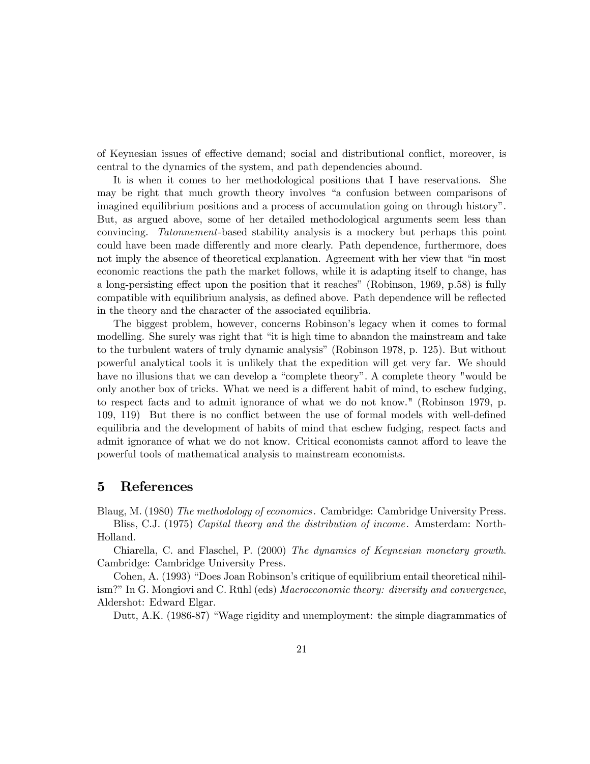of Keynesian issues of effective demand; social and distributional conflict, moreover, is central to the dynamics of the system, and path dependencies abound.

It is when it comes to her methodological positions that I have reservations. She may be right that much growth theory involves "a confusion between comparisons of imagined equilibrium positions and a process of accumulation going on through history". But, as argued above, some of her detailed methodological arguments seem less than convincing. Tatonnement-based stability analysis is a mockery but perhaps this point could have been made differently and more clearly. Path dependence, furthermore, does not imply the absence of theoretical explanation. Agreement with her view that "in most economic reactions the path the market follows, while it is adapting itself to change, has a long-persisting effect upon the position that it reaches" (Robinson, 1969, p.58) is fully compatible with equilibrium analysis, as defined above. Path dependence will be reflected in the theory and the character of the associated equilibria.

The biggest problem, however, concerns Robinson's legacy when it comes to formal modelling. She surely was right that "it is high time to abandon the mainstream and take to the turbulent waters of truly dynamic analysis" (Robinson 1978, p. 125). But without powerful analytical tools it is unlikely that the expedition will get very far. We should have no illusions that we can develop a "complete theory". A complete theory "would be only another box of tricks. What we need is a different habit of mind, to eschew fudging, to respect facts and to admit ignorance of what we do not know." (Robinson 1979, p. 109, 119) But there is no conflict between the use of formal models with well-defined equilibria and the development of habits of mind that eschew fudging, respect facts and admit ignorance of what we do not know. Critical economists cannot afford to leave the powerful tools of mathematical analysis to mainstream economists.

#### 5 References

Blaug, M. (1980) The methodology of economics . Cambridge: Cambridge University Press.

Bliss, C.J. (1975) Capital theory and the distribution of income. Amsterdam: North-Holland.

Chiarella, C. and Flaschel, P. (2000) The dynamics of Keynesian monetary growth. Cambridge: Cambridge University Press.

Cohen, A. (1993) "Does Joan Robinson's critique of equilibrium entail theoretical nihilism?" In G. Mongiovi and C. Rühl (eds) Macroeconomic theory: diversity and convergence, Aldershot: Edward Elgar.

Dutt, A.K. (1986-87) "Wage rigidity and unemployment: the simple diagrammatics of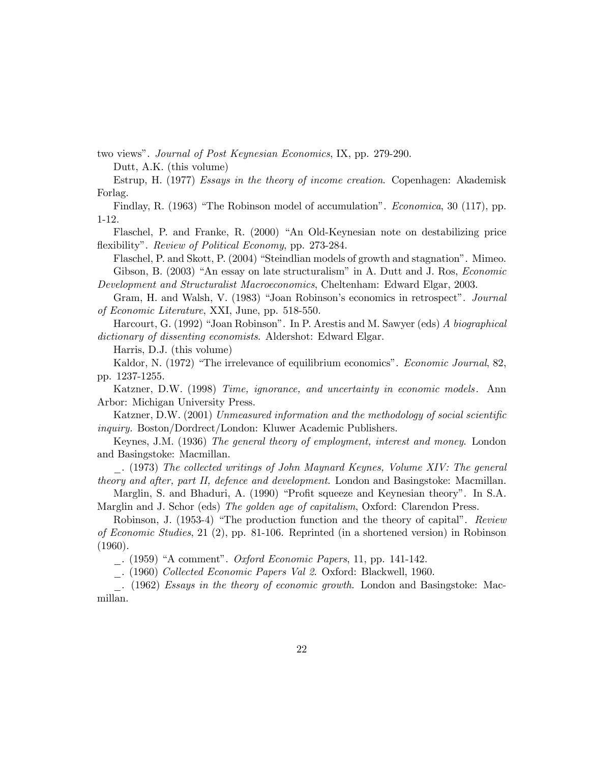two views". Journal of Post Keynesian Economics, IX, pp. 279-290.

Dutt, A.K. (this volume)

Estrup, H. (1977) Essays in the theory of income creation. Copenhagen: Akademisk Forlag.

Findlay, R. (1963) "The Robinson model of accumulation". Economica, 30 (117), pp. 1-12.

Flaschel, P. and Franke, R. (2000) "An Old-Keynesian note on destabilizing price flexibility". Review of Political Economy, pp. 273-284.

Flaschel, P. and Skott, P. (2004) "Steindlian models of growth and stagnation". Mimeo. Gibson, B. (2003) "An essay on late structuralism" in A. Dutt and J. Ros, Economic Development and Structuralist Macroeconomics, Cheltenham: Edward Elgar, 2003.

Gram, H. and Walsh, V. (1983) "Joan Robinson's economics in retrospect". Journal of Economic Literature, XXI, June, pp. 518-550.

Harcourt, G. (1992) "Joan Robinson". In P. Arestis and M. Sawyer (eds) A biographical dictionary of dissenting economists. Aldershot: Edward Elgar.

Harris, D.J. (this volume)

Kaldor, N. (1972) "The irrelevance of equilibrium economics". Economic Journal, 82, pp. 1237-1255.

Katzner, D.W. (1998) Time, ignorance, and uncertainty in economic models. Ann Arbor: Michigan University Press.

Katzner, D.W. (2001) Unmeasured information and the methodology of social scientific inquiry. Boston/Dordrect/London: Kluwer Academic Publishers.

Keynes, J.M. (1936) The general theory of employment, interest and money. London and Basingstoke: Macmillan.

\_. (1973) The collected writings of John Maynard Keynes, Volume XIV: The general theory and after, part II, defence and development. London and Basingstoke: Macmillan.

Marglin, S. and Bhaduri, A. (1990) "Profit squeeze and Keynesian theory". In S.A. Marglin and J. Schor (eds) The golden age of capitalism, Oxford: Clarendon Press.

Robinson, J. (1953-4) "The production function and the theory of capital". Review of Economic Studies, 21 (2), pp. 81-106. Reprinted (in a shortened version) in Robinson (1960).

\_. (1959) "A comment". Oxford Economic Papers, 11, pp. 141-142.

\_. (1960) Collected Economic Papers Val 2. Oxford: Blackwell, 1960.

\_. (1962) Essays in the theory of economic growth. London and Basingstoke: Macmillan.